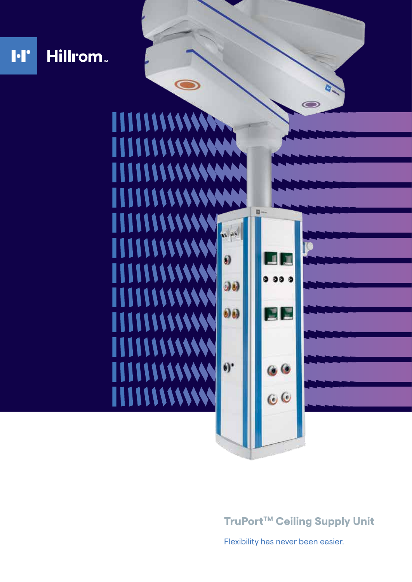

**TruPort™ Ceiling Supply Unit** 

Flexibility has never been easier.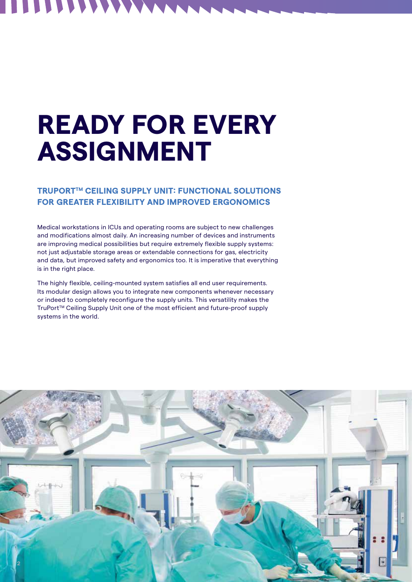## **READY FOR EVERY ASSIGNMENT**

**TTTTT** 

#### **TRUPORTTM CEILING SUPPLY UNIT: FUNCTIONAL SOLUTIONS FOR GREATER FLEXIBILITY AND IMPROVED ERGONOMICS**

Medical workstations in ICUs and operating rooms are subject to new challenges and modifications almost daily. An increasing number of devices and instruments are improving medical possibilities but require extremely flexible supply systems: not just adjustable storage areas or extendable connections for gas, electricity and data, but improved safety and ergonomics too. It is imperative that everything is in the right place.

The highly flexible, ceiling-mounted system satisfies all end user requirements. Its modular design allows you to integrate new components whenever necessary or indeed to completely reconfigure the supply units. This versatility makes the TruPortTM Ceiling Supply Unit one of the most efficient and future-proof supply systems in the world.

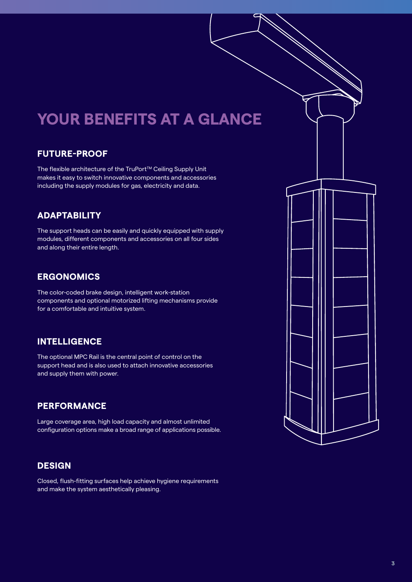### **YOUR BENEFITS AT A GLANCE**

#### **FUTURE-PROOF**

The flexible architecture of the TruPort™ Ceiling Supply Unit makes it easy to switch innovative components and accessories including the supply modules for gas, electricity and data.

### **ADAPTABILITY**

The support heads can be easily and quickly equipped with supply modules, different components and accessories on all four sides and along their entire length.

#### **ERGONOMICS**

The color-coded brake design, intelligent work-station components and optional motorized lifting mechanisms provide for a comfortable and intuitive system.

#### **INTELLIGENCE**

The optional MPC Rail is the central point of control on the support head and is also used to attach innovative accessories and supply them with power.

#### **PERFORMANCE**

Large coverage area, high load capacity and almost unlimited configuration options make a broad range of applications possible.

#### **DESIGN**

Closed, flush-fitting surfaces help achieve hygiene requirements and make the system aesthetically pleasing.

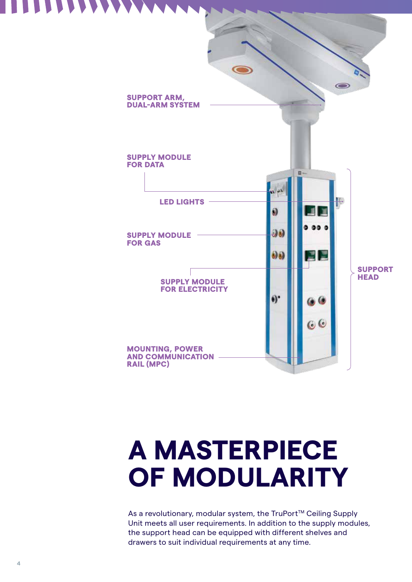

## **A MASTERPIECE OF MODULARITY**

As a revolutionary, modular system, the TruPort™ Ceiling Supply Unit meets all user requirements. In addition to the supply modules, the support head can be equipped with different shelves and drawers to suit individual requirements at any time.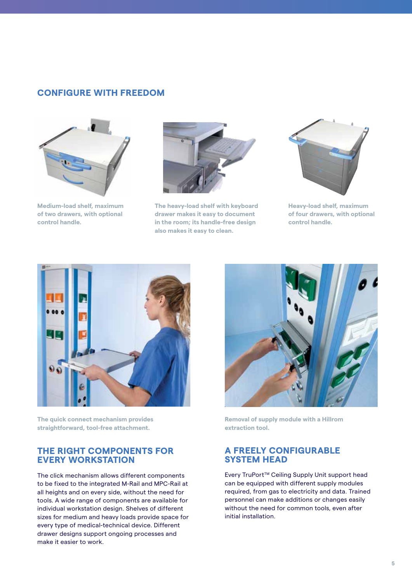#### **CONFIGURE WITH FREEDOM**



**Medium-load shelf, maximum of two drawers, with optional control handle.**



**The heavy-load shelf with keyboard drawer makes it easy to document in the room; its handle-free design also makes it easy to clean.**



**Heavy-load shelf, maximum of four drawers, with optional control handle.**



**The quick connect mechanism provides straightforward, tool-free attachment.**

#### **THE RIGHT COMPONENTS FOR EVERY WORKSTATION**

The click mechanism allows different components to be fixed to the integrated M-Rail and MPC-Rail at all heights and on every side, without the need for tools. A wide range of components are available for individual workstation design. Shelves of different sizes for medium and heavy loads provide space for every type of medical-technical device. Different drawer designs support ongoing processes and make it easier to work.



**Removal of supply module with a Hillrom extraction tool.** 

#### **A FREELY CONFIGURABLE SYSTEM HEAD**

Every TruPort™ Ceiling Supply Unit support head can be equipped with different supply modules required, from gas to electricity and data. Trained personnel can make additions or changes easily without the need for common tools, even after initial installation.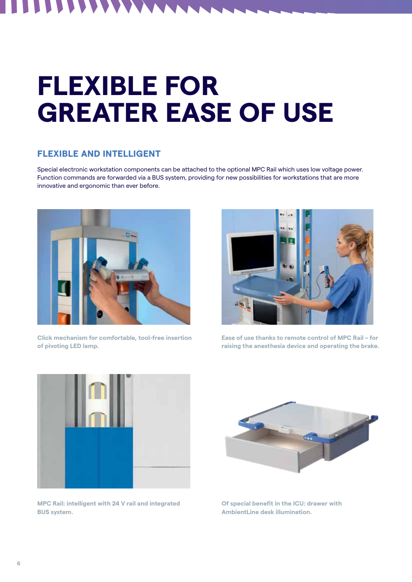# **FLEXIBLE FOR GREATER EASE OF USE**

#### **FLEXIBLE AND INTELLIGENT**

 $\blacksquare$  $\blacktriangledown$  $\blacktriangledown$ V

Special electronic workstation components can be attached to the optional MPC Rail which uses low voltage power. Function commands are forwarded via a BUS system, providing for new possibilities for workstations that are more innovative and ergonomic than ever before.



**Click mechanism for comfortable, tool-free insertion of pivoting LED lamp.**



**Ease of use thanks to remote control of MPC Rail – for raising the anesthesia device and operating the brake.**



**MPC Rail: intelligent with 24 V rail and integrated BUS system.** 



**Of special benefit in the ICU: drawer with AmbientLine desk illumination.**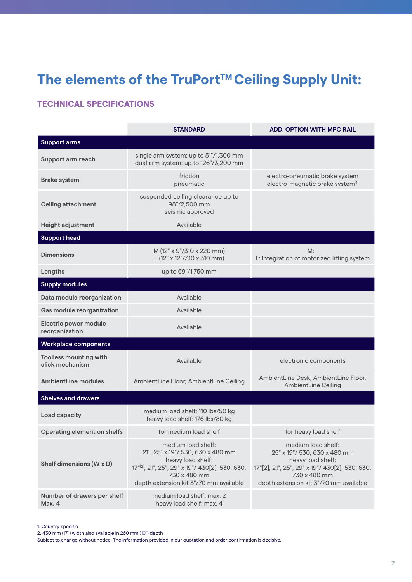### The elements of the TruPort<sup>™</sup> Ceiling Supply Unit:

#### **TECHNICAL SPECIFICATIONS**

|                                                  | <b>STANDARD</b>                                                                                                                                                                          | <b>ADD. OPTION WITH MPC RAIL</b>                                                                                                                                                    |
|--------------------------------------------------|------------------------------------------------------------------------------------------------------------------------------------------------------------------------------------------|-------------------------------------------------------------------------------------------------------------------------------------------------------------------------------------|
| <b>Support arms</b>                              |                                                                                                                                                                                          |                                                                                                                                                                                     |
| Support arm reach                                | single arm system: up to 51"/1,300 mm<br>dual arm system: up to 126"/3,200 mm                                                                                                            |                                                                                                                                                                                     |
| <b>Brake system</b>                              | friction<br>pneumatic                                                                                                                                                                    | electro-pneumatic brake system<br>electro-magnetic brake system <sup>[1]</sup>                                                                                                      |
| <b>Ceiling attachment</b>                        | suspended ceiling clearance up to<br>98"/2,500 mm<br>seismic approved                                                                                                                    |                                                                                                                                                                                     |
| Height adjustment                                | Available                                                                                                                                                                                |                                                                                                                                                                                     |
| <b>Support head</b>                              |                                                                                                                                                                                          |                                                                                                                                                                                     |
| <b>Dimensions</b>                                | M (12" x 9"/310 x 220 mm)<br>L (12" x 12"/310 x 310 mm)                                                                                                                                  | $M:$ -<br>L: Integration of motorized lifting system                                                                                                                                |
| Lengths                                          | up to 69"/1,750 mm                                                                                                                                                                       |                                                                                                                                                                                     |
| <b>Supply modules</b>                            |                                                                                                                                                                                          |                                                                                                                                                                                     |
| Data module reorganization                       | Available                                                                                                                                                                                |                                                                                                                                                                                     |
| Gas module reorganization                        | Available                                                                                                                                                                                |                                                                                                                                                                                     |
| <b>Electric power module</b><br>reorganization   | Available                                                                                                                                                                                |                                                                                                                                                                                     |
| <b>Workplace components</b>                      |                                                                                                                                                                                          |                                                                                                                                                                                     |
| <b>Toolless mounting with</b><br>click mechanism | Available                                                                                                                                                                                | electronic components                                                                                                                                                               |
| <b>AmbientLine modules</b>                       | AmbientLine Floor, AmbientLine Ceiling                                                                                                                                                   | AmbientLine Desk, AmbientLine Floor,<br>AmbientLine Ceiling                                                                                                                         |
| <b>Shelves and drawers</b>                       |                                                                                                                                                                                          |                                                                                                                                                                                     |
| Load capacity                                    | medium load shelf: 110 lbs/50 kg<br>heavy load shelf: 176 lbs/80 kg                                                                                                                      |                                                                                                                                                                                     |
| <b>Operating element on shelfs</b>               | for medium load shelf                                                                                                                                                                    | for heavy load shelf                                                                                                                                                                |
| Shelf dimensions (W x D)                         | medium load shelf:<br>21", 25" x 19"/ 530, 630 x 480 mm<br>heavy load shelf:<br>17"[2], 21", 25", 29" x 19"/ 430[2], 530, 630,<br>730 x 480 mm<br>depth extension kit 3"/70 mm available | medium load shelf:<br>25" x 19"/ 530, 630 x 480 mm<br>heavy load shelf:<br>17"[2], 21", 25", 29" x 19"/ 430[2], 530, 630,<br>730 x 480 mm<br>depth extension kit 3"/70 mm available |
| Number of drawers per shelf<br>Max. 4            | medium load shelf: max. 2<br>heavy load shelf: max. 4                                                                                                                                    |                                                                                                                                                                                     |

1. Country-specific

2. 430 mm (17") width also available in 260 mm (10") depth

Subject to change without notice. The information provided in our quotation and order confirmation is decisive.